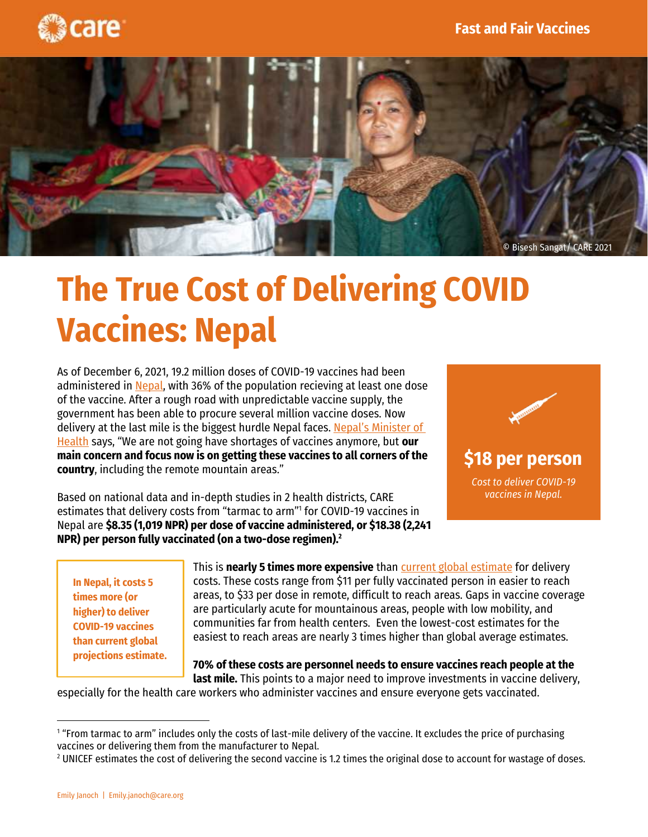



# **The True Cost of Delivering COVID Vaccines: Nepal**

As of December 6, 2021, 19.2 million doses of COVID-19 vaccines had been administered i[n Nepal,](https://ourworldindata.org/coronavirus/country/nepal#what-share-of-the-population-has-been-fully-vaccinated-against-covid-19) with 36% of the population recieving at least one dose of the vaccine. After a rough road with unpredictable vaccine supply, the government has been able to procure several million vaccine doses. Now delivery at the last mile is the biggest hurdle Nepal faces. [Nepal's Minister of](https://www.aljazeera.com/news/2021/11/11/nepal-covid-vaccination-adults-mid-april-health-minister)  [Health](https://www.aljazeera.com/news/2021/11/11/nepal-covid-vaccination-adults-mid-april-health-minister) says, "We are not going have shortages of vaccines anymore, but **our main concern and focus now is on getting these vaccines to all corners of the country**, including the remote mountain areas."

Based on national data and in-depth studies in 2 health districts, CARE estimates that delivery costs from "tarmac to arm"<sup>1</sup> for COVID-19 vaccines in Nepal are **\$8.35 (1,019 NPR) per dose of vaccine administered, or \$18.38 (2,241 NPR) per person fully vaccinated (on a two-dose regimen). 2**



**In Nepal, it costs 5 times more (or higher) to deliver COVID-19 vaccines than current global projections estimate.**

sustainability.

This is **nearly 5 times more expensive** than [current global estimate](https://thinkwell.global/cost-deliver-covid-vaccine/) for delivery costs. These costs range from \$11 per fully vaccinated person in easier to reach areas, to \$33 per dose in remote, difficult to reach areas. Gaps in vaccine coverage are particularly acute for mountainous areas, people with low mobility, and communities far from health centers. Even the lowest-cost estimates for the easiest to reach areas are nearly 3 times higher than global average estimates.

**70% of these costs are personnel needs to ensure vaccines reach people at the last mile.** This points to a major need to improve investments in vaccine delivery,

especially for the health care workers who administer vaccines and ensure everyone gets vaccinated.

<sup>1</sup> "From tarmac to arm" includes only the costs of last-mile delivery of the vaccine. It excludes the price of purchasing vaccines or delivering them from the manufacturer to Nepal.

<sup>&</sup>lt;sup>2</sup> UNICEF estimates the cost of delivering the second vaccine is 1.2 times the original dose to account for wastage of doses.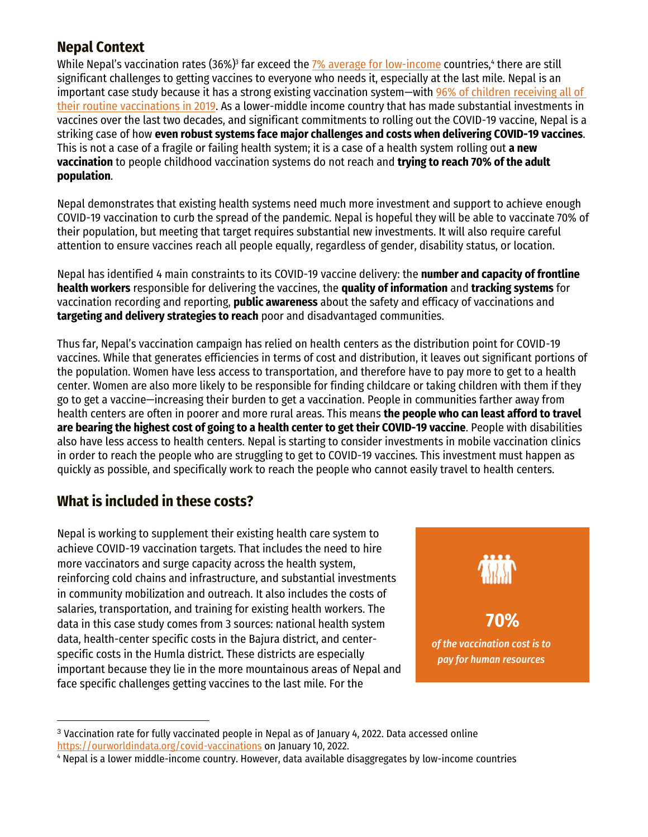## **Nepal Context**

While Nepal's vaccination rates (36%)<sup>3</sup> far exceed the <u>7% average for low-income</u> countries,<del>'</del> there are still significant challenges to getting vaccines to everyone who needs it, especially at the last mile. Nepal is an important case study because it has a strong existing vaccination system—with [96% of children receiving](https://www.who.int/immunization/monitoring_surveillance/data/npl.pdf) all of [their routine](https://www.who.int/immunization/monitoring_surveillance/data/npl.pdf) vaccinations in 2019. As a lower-middle income country that has made substantial investments in vaccines over the last two decades, and significant commitments to rolling out the COVID-19 vaccine, Nepal is a striking case of how **even robust systems face major challenges and costs when delivering COVID-19 vaccines**. This is not a case of a fragile or failing health system; it is a case of a health system rolling out **a new vaccination** to people childhood vaccination systems do not reach and **trying to reach 70% of the adult population**.

Nepal demonstrates that existing health systems need much more investment and support to achieve enough COVID-19 vaccination to curb the spread of the pandemic. Nepal is hopeful they will be able to vaccinate 70% of their population, but meeting that target requires substantial new investments. It will also require careful attention to ensure vaccines reach all people equally, regardless of gender, disability status, or location.

Nepal has identified 4 main constraints to its COVID-19 vaccine delivery: the **number and capacity of frontline health workers** responsible for delivering the vaccines, the **quality of information** and **tracking systems** for vaccination recording and reporting, **public awareness** about the safety and efficacy of vaccinations and **targeting and delivery strategies to reach** poor and disadvantaged communities.

Thus far, Nepal's vaccination campaign has relied on health centers as the distribution point for COVID-19 vaccines. While that generates efficiencies in terms of cost and distribution, it leaves out significant portions of the population. Women have less access to transportation, and therefore have to pay more to get to a health center. Women are also more likely to be responsible for finding childcare or taking children with them if they go to get a vaccine—increasing their burden to get a vaccination. People in communities farther away from health centers are often in poorer and more rural areas. This means **the people who can least afford to travel are bearing the highest cost of going to a health center to get their COVID-19 vaccine**. People with disabilities also have less access to health centers. Nepal is starting to consider investments in mobile vaccination clinics in order to reach the people who are struggling to get to COVID-19 vaccines. This investment must happen as quickly as possible, and specifically work to reach the people who cannot easily travel to health centers.

# **What is included in these costs?**

Nepal is working to supplement their existing health care system to achieve COVID-19 vaccination targets. That includes the need to hire more vaccinators and surge capacity across the health system, reinforcing cold chains and infrastructure, and substantial investments in community mobilization and outreach. It also includes the costs of salaries, transportation, and training for existing health workers. The data in this case study comes from 3 sources: national health system data, health-center specific costs in the Bajura district, and centerspecific costs in the Humla district. These districts are especially important because they lie in the more mountainous areas of Nepal and face specific challenges getting vaccines to the last mile. For the



<sup>3</sup> Vaccination rate for fully vaccinated people in Nepal as of January 4, 2022. Data accessed online <https://ourworldindata.org/covid-vaccinations> on January 10, 2022.

<sup>4</sup> Nepal is a lower middle-income country. However, data available disaggregates by low-income countries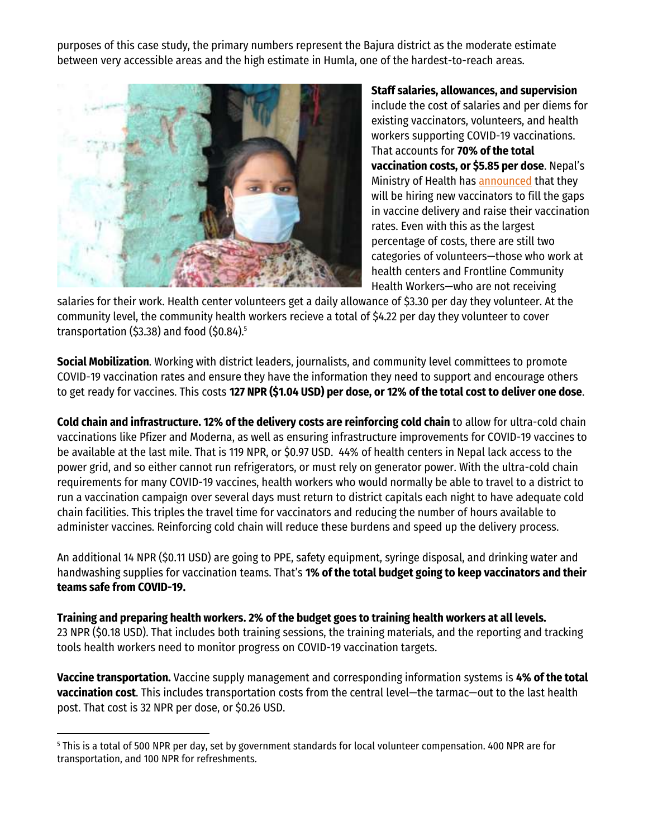purposes of this case study, the primary numbers represent the Bajura district as the moderate estimate between very accessible areas and the high estimate in Humla, one of the hardest-to-reach areas.



**Staff salaries, allowances, and supervision** include the cost of salaries and per diems for existing vaccinators, volunteers, and health workers supporting COVID-19 vaccinations. That accounts for **70% of the total vaccination costs, or \$5.85 per dose**. Nepal's Ministry of Health has [announced](https://www.aljazeera.com/news/2021/11/11/nepal-covid-vaccination-adults-mid-april-health-minister) that they will be hiring new vaccinators to fill the gaps in vaccine delivery and raise their vaccination rates. Even with this as the largest percentage of costs, there are still two categories of volunteers—those who work at health centers and Frontline Community Health Workers—who are not receiving

salaries for their work. Health center volunteers get a daily allowance of \$3.30 per day they volunteer. At the community level, the community health workers recieve a total of \$4.22 per day they volunteer to cover transportation (\$3.38) and food (\$0.84). 5

**Social Mobilization**. Working with district leaders, journalists, and community level committees to promote COVID-19 vaccination rates and ensure they have the information they need to support and encourage others to get ready for vaccines. This costs **127 NPR (\$1.04 USD) per dose, or 12% of the total cost to deliver one dose**.

**Cold chain and infrastructure. 12% of the delivery costs are reinforcing cold chain** to allow for ultra-cold chain vaccinations like Pfizer and Moderna, as well as ensuring infrastructure improvements for COVID-19 vaccines to be available at the last mile. That is 119 NPR, or \$0.97 USD. 44% of health centers in Nepal lack access to the power grid, and so either cannot run refrigerators, or must rely on generator power. With the ultra-cold chain requirements for many COVID-19 vaccines, health workers who would normally be able to travel to a district to run a vaccination campaign over several days must return to district capitals each night to have adequate cold chain facilities. This triples the travel time for vaccinators and reducing the number of hours available to administer vaccines. Reinforcing cold chain will reduce these burdens and speed up the delivery process.

An additional 14 NPR (\$0.11 USD) are going to PPE, safety equipment, syringe disposal, and drinking water and handwashing supplies for vaccination teams. That's **1% of the total budget going to keep vaccinators and their teams safe from COVID-19.**

**Training and preparing health workers. 2% of the budget goes to training health workers at all levels.** 23 NPR (\$0.18 USD). That includes both training sessions, the training materials, and the reporting and tracking tools health workers need to monitor progress on COVID-19 vaccination targets.

**Vaccine transportation.** Vaccine supply management and corresponding information systems is **4% of the total vaccination cost**. This includes transportation costs from the central level—the tarmac—out to the last health post. That cost is 32 NPR per dose, or \$0.26 USD.

<sup>5</sup> This is a total of 500 NPR per day, set by government standards for local volunteer compensation. 400 NPR are for transportation, and 100 NPR for refreshments.